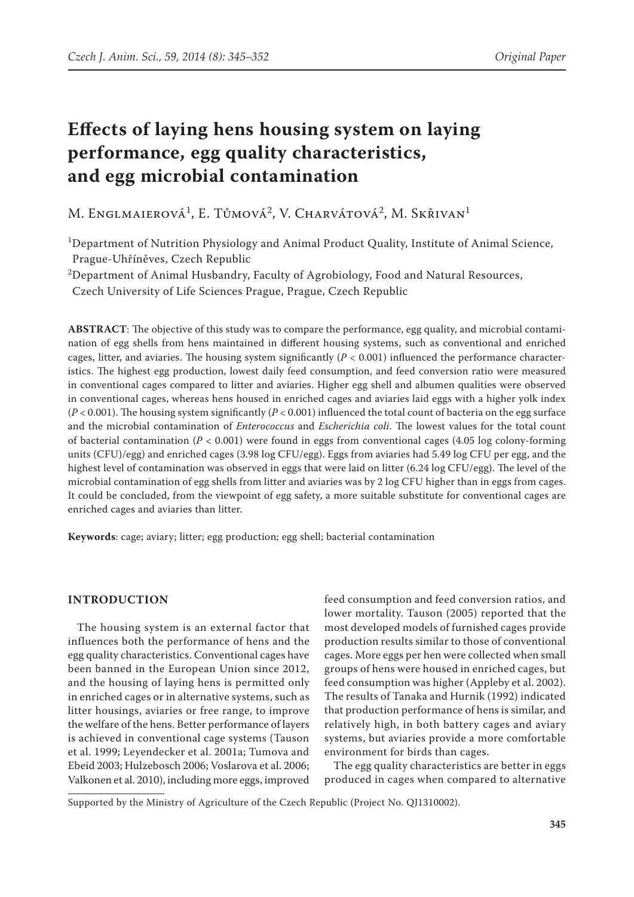# **Effects of laying hens housing system on laying performance, egg quality characteristics, and egg microbial contamination**

M. Englmaierová<sup>1</sup>, E. Tůmová<sup>2</sup>, V. Charvátová<sup>2</sup>, M. Skřivan<sup>1</sup>

<sup>1</sup>Department of Nutrition Physiology and Animal Product Quality, Institute of Animal Science, Prague-Uhříněves, Czech Republic

 $^{2}$ Department of Animal Husbandry, Faculty of Agrobiology, Food and Natural Resources,

Czech University of Life Sciences Prague, Prague, Czech Republic

**ABSTRACT**: The objective of this study was to compare the performance, egg quality, and microbial contamination of egg shells from hens maintained in different housing systems, such as conventional and enriched cages, litter, and aviaries. The housing system significantly (*P* < 0.001) influenced the performance characteristics. The highest egg production, lowest daily feed consumption, and feed conversion ratio were measured in conventional cages compared to litter and aviaries. Higher egg shell and albumen qualities were observed in conventional cages, whereas hens housed in enriched cages and aviaries laid eggs with a higher yolk index  $(P < 0.001)$ . The housing system significantly  $(P < 0.001)$  influenced the total count of bacteria on the egg surface and the microbial contamination of *Enterococcus* and *Escherichia coli*. The lowest values for the total count of bacterial contamination (*P* < 0.001) were found in eggs from conventional cages (4.05 log colony-forming units (CFU)/egg) and enriched cages (3.98 log CFU/egg). Eggs from aviaries had 5.49 log CFU per egg, and the highest level of contamination was observed in eggs that were laid on litter (6.24 log CFU/egg). The level of the microbial contamination of egg shells from litter and aviaries was by 2 log CFU higher than in eggs from cages. It could be concluded, from the viewpoint of egg safety, a more suitable substitute for conventional cages are enriched cages and aviaries than litter.

**Keywords**: cage; aviary; litter; egg production; egg shell; bacterial contamination

## **Introduction**

The housing system is an external factor that influences both the performance of hens and the egg quality characteristics. Conventional cages have been banned in the European Union since 2012, and the housing of laying hens is permitted only in enriched cages or in alternative systems, such as litter housings, aviaries or free range, to improve the welfare of the hens. Better performance of layers is achieved in conventional cage systems (Tauson et al. 1999; Leyendecker et al. 2001a; Tumova and Ebeid 2003; Hulzebosch 2006; Voslarova et al. 2006; Valkonen et al. 2010), including more eggs, improved

feed consumption and feed conversion ratios, and lower mortality. Tauson (2005) reported that the most developed models of furnished cages provide production results similar to those of conventional cages. More eggs per hen were collected when small groups of hens were housed in enriched cages, but feed consumption was higher (Appleby et al. 2002). The results of Tanaka and Hurnik (1992) indicated that production performance of hens is similar, and relatively high, in both battery cages and aviary systems, but aviaries provide a more comfortable environment for birds than cages.

The egg quality characteristics are better in eggs produced in cages when compared to alternative

Supported by the Ministry of Agriculture of the Czech Republic (Project No. QJ1310002).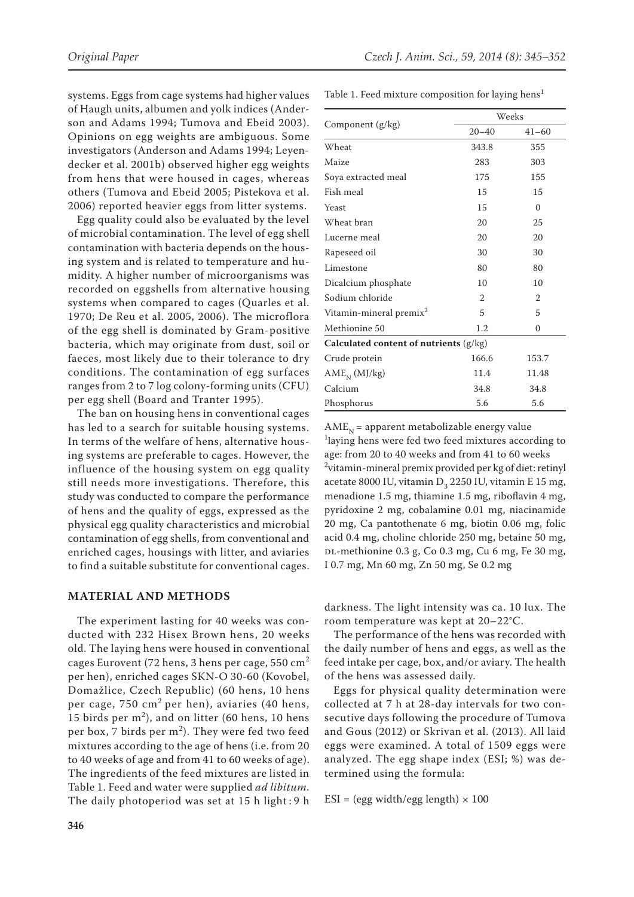systems. Eggs from cage systems had higher values of Haugh units, albumen and yolk indices (Anderson and Adams 1994; Tumova and Ebeid 2003). Opinions on egg weights are ambiguous. Some investigators (Anderson and Adams 1994; Leyendecker et al. 2001b) observed higher egg weights from hens that were housed in cages, whereas others (Tumova and Ebeid 2005; Pistekova et al. 2006) reported heavier eggs from litter systems.

Egg quality could also be evaluated by the level of microbial contamination. The level of egg shell contamination with bacteria depends on the housing system and is related to temperature and humidity. A higher number of microorganisms was recorded on eggshells from alternative housing systems when compared to cages (Quarles et al. 1970; De Reu et al. 2005, 2006). The microflora of the egg shell is dominated by Gram-positive bacteria, which may originate from dust, soil or faeces, most likely due to their tolerance to dry conditions. The contamination of egg surfaces ranges from 2 to 7 log colony-forming units (CFU) per egg shell (Board and Tranter 1995).

The ban on housing hens in conventional cages has led to a search for suitable housing systems. In terms of the welfare of hens, alternative housing systems are preferable to cages. However, the influence of the housing system on egg quality still needs more investigations. Therefore, this study was conducted to compare the performance of hens and the quality of eggs, expressed as the physical egg quality characteristics and microbial contamination of egg shells, from conventional and enriched cages, housings with litter, and aviaries to find a suitable substitute for conventional cages.

### **Material and methods**

The experiment lasting for 40 weeks was conducted with 232 Hisex Brown hens, 20 weeks old. The laying hens were housed in conventional cages Eurovent (72 hens, 3 hens per cage,  $550 \text{ cm}^2$ ) per hen), enriched cages SKN-O 30-60 (Kovobel, Domažlice, Czech Republic) (60 hens, 10 hens per cage, 750 cm<sup>2</sup> per hen), aviaries (40 hens, 15 birds per  $m<sup>2</sup>$ ), and on litter (60 hens, 10 hens per box, 7 birds per  $m^2$ ). They were fed two feed mixtures according to the age of hens (i.e. from 20 to 40 weeks of age and from 41 to 60 weeks of age). The ingredients of the feed mixtures are listed in Table 1. Feed and water were supplied *ad libitum*. The daily photoperiod was set at 15 h light : 9 h

Table 1. Feed mixture composition for laying hens<sup>1</sup>

|                                        | Weeks          |                |  |  |  |  |
|----------------------------------------|----------------|----------------|--|--|--|--|
| Component (g/kg)                       | $20 - 40$      | $41 - 60$      |  |  |  |  |
| Wheat                                  | 343.8          | 355            |  |  |  |  |
| Maize                                  | 283            | 303            |  |  |  |  |
| Soya extracted meal                    | 175            | 155            |  |  |  |  |
| Fish meal                              | 15             | 15             |  |  |  |  |
| Yeast                                  | 15             | $\Omega$       |  |  |  |  |
| Wheat bran                             | 20             | 25             |  |  |  |  |
| Lucerne meal                           | 20             | 20             |  |  |  |  |
| Rapeseed oil                           | 30             | 30             |  |  |  |  |
| Limestone                              | 80             | 80             |  |  |  |  |
| Dicalcium phosphate                    | 10             | 10             |  |  |  |  |
| Sodium chloride                        | $\overline{2}$ | $\overline{2}$ |  |  |  |  |
| Vitamin-mineral premix <sup>2</sup>    | 5              | 5              |  |  |  |  |
| Methionine 50                          | 1.2            | 0              |  |  |  |  |
| Calculated content of nutrients (g/kg) |                |                |  |  |  |  |
| Crude protein                          | 166.6          | 153.7          |  |  |  |  |
| $AMEN$ (MJ/kg)                         | 11.4           | 11.48          |  |  |  |  |
| Calcium                                | 34.8           | 34.8           |  |  |  |  |
| Phosphorus                             | 5.6            | 5.6            |  |  |  |  |

 $AME<sub>N</sub>$  = apparent metabolizable energy value <sup>1</sup>laying hens were fed two feed mixtures according to age: from 20 to 40 weeks and from 41 to 60 weeks 2 vitamin-mineral premix provided per kg of diet: retinyl acetate 8000 IU, vitamin  $D_3$  2250 IU, vitamin E 15 mg, menadione 1.5 mg, thiamine 1.5 mg, riboflavin 4 mg, pyridoxine 2 mg, cobalamine 0.01 mg, niacinamide 20 mg, Ca pantothenate 6 mg, biotin 0.06 mg, folic acid 0.4 mg, choline chloride 250 mg, betaine 50 mg, DL-methionine 0.3 g, Co 0.3 mg, Cu 6 mg, Fe 30 mg, I 0.7 mg, Mn 60 mg, Zn 50 mg, Se 0.2 mg

darkness. The light intensity was ca. 10 lux. The room temperature was kept at 20–22°C.

The performance of the hens was recorded with the daily number of hens and eggs, as well as the feed intake per cage, box, and/or aviary. The health of the hens was assessed daily.

Eggs for physical quality determination were collected at 7 h at 28-day intervals for two consecutive days following the procedure of Tumova and Gous (2012) or Skrivan et al. (2013). All laid eggs were examined. A total of 1509 eggs were analyzed. The egg shape index (ESI; %) was determined using the formula:

 $ESI = (egg width/egg length) \times 100$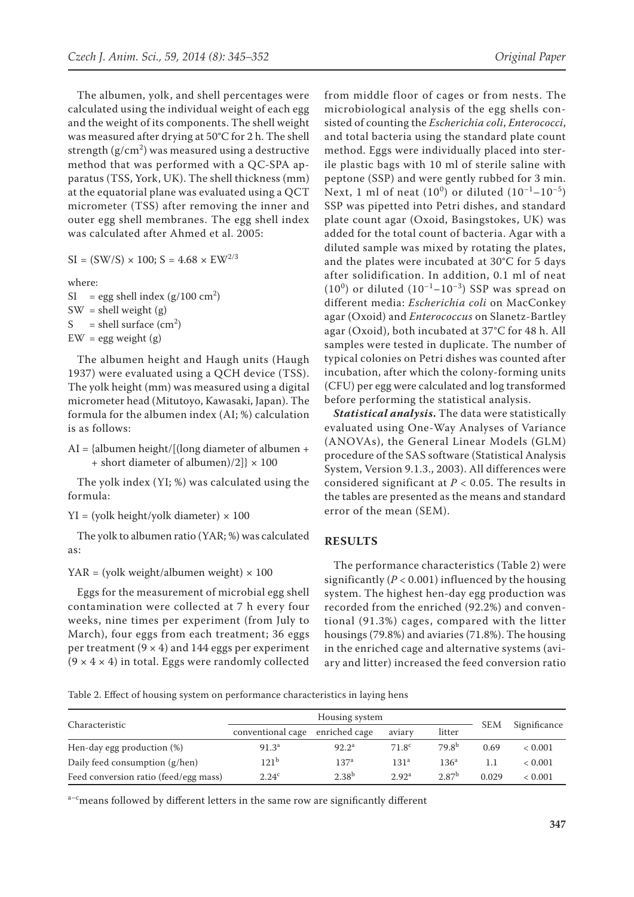The albumen, yolk, and shell percentages were calculated using the individual weight of each egg and the weight of its components. The shell weight was measured after drying at 50°C for 2 h. The shell strength  $(g/cm<sup>2</sup>)$  was measured using a destructive method that was performed with a QC-SPA apparatus (TSS, York, UK). The shell thickness (mm) at the equatorial plane was evaluated using a QCT micrometer (TSS) after removing the inner and outer egg shell membranes. The egg shell index was calculated after Ahmed et al. 2005:

 $SI = (SW/S) \times 100$ ;  $S = 4.68 \times EW^{2/3}$ 

where:

 $SI = egg shell index (g/100 cm<sup>2</sup>)$  $SW = shell weight(g)$ S = shell surface  $\text{ (cm}^2\text{)}$  $EW =$  egg weight (g)

The albumen height and Haugh units (Haugh 1937) were evaluated using a QCH device (TSS). The yolk height (mm) was measured using a digital micrometer head (Mitutoyo, Kawasaki, Japan). The formula for the albumen index (AI; %) calculation is as follows:

AI = {albumen height/[(long diameter of albumen + + short diameter of albumen)/2]}  $\times$  100

The yolk index (YI; %) was calculated using the formula:

 $YI = (yolk height/yolk diameter) \times 100$ 

The yolk to albumen ratio (YAR; %) was calculated as:

YAR = (yolk weight/albumen weight)  $\times$  100

Eggs for the measurement of microbial egg shell contamination were collected at 7 h every four weeks, nine times per experiment (from July to March), four eggs from each treatment; 36 eggs per treatment  $(9 \times 4)$  and 144 eggs per experiment  $(9 \times 4 \times 4)$  in total. Eggs were randomly collected

from middle floor of cages or from nests. The microbiological analysis of the egg shells consisted of counting the *Escherichia coli*, *Enterococci*, and total bacteria using the standard plate count method. Eggs were individually placed into sterile plastic bags with 10 ml of sterile saline with peptone (SSP) and were gently rubbed for 3 min. Next, 1 ml of neat  $(10^0)$  or diluted  $(10^{-1}-10^{-5})$ SSP was pipetted into Petri dishes, and standard plate count agar (Oxoid, Basingstokes, UK) was added for the total count of bacteria. Agar with a diluted sample was mixed by rotating the plates, and the plates were incubated at 30°C for 5 days after solidification. In addition, 0.1 ml of neat  $(10<sup>0</sup>)$  or diluted  $(10<sup>-1</sup>-10<sup>-3</sup>)$  SSP was spread on different media: *Escherichia coli* on MacConkey agar (Oxoid) and *Enterococcus* on Slanetz-Bartley agar (Oxoid), both incubated at 37°C for 48 h. All samples were tested in duplicate. The number of typical colonies on Petri dishes was counted after incubation, after which the colony-forming units (CFU) per egg were calculated and log transformed before performing the statistical analysis.

*Statistical analysis***.** The data were statistically evaluated using One-Way Analyses of Variance (ANOVAs), the General Linear Models (GLM) procedure of the SAS software (Statistical Analysis System, Version 9.1.3., 2003). All differences were considered significant at *P* < 0.05. The results in the tables are presented as the means and standard error of the mean (SEM).

### **Results**

The performance characteristics (Table 2) were significantly  $(P < 0.001)$  influenced by the housing system. The highest hen-day egg production was recorded from the enriched (92.2%) and conventional (91.3%) cages, compared with the litter housings (79.8%) and aviaries (71.8%). The housing in the enriched cage and alternative systems (aviary and litter) increased the feed conversion ratio

Table 2. Effect of housing system on performance characteristics in laying hens

| Characteristic                        | Housing system    |                   |                   |                   |            |              |
|---------------------------------------|-------------------|-------------------|-------------------|-------------------|------------|--------------|
|                                       | conventional cage | enriched cage     | aviary            | litter            | <b>SEM</b> | Significance |
| Hen-day egg production (%)            | 91.3 <sup>a</sup> | 92.2 <sup>a</sup> | 71.8 <sup>c</sup> | 79.8 <sup>b</sup> | 0.69       | < 0.001      |
| Daily feed consumption (g/hen)        | $121^{b}$         | 137 <sup>a</sup>  | 131 <sup>a</sup>  | 136 <sup>a</sup>  | 1.1        | < 0.001      |
| Feed conversion ratio (feed/egg mass) | 2.24 <sup>c</sup> | $2.38^{b}$        | 2.92 <sup>a</sup> | 2.87 <sup>b</sup> | 0.029      | < 0.001      |

a<sup>-c</sup>means followed by different letters in the same row are significantly different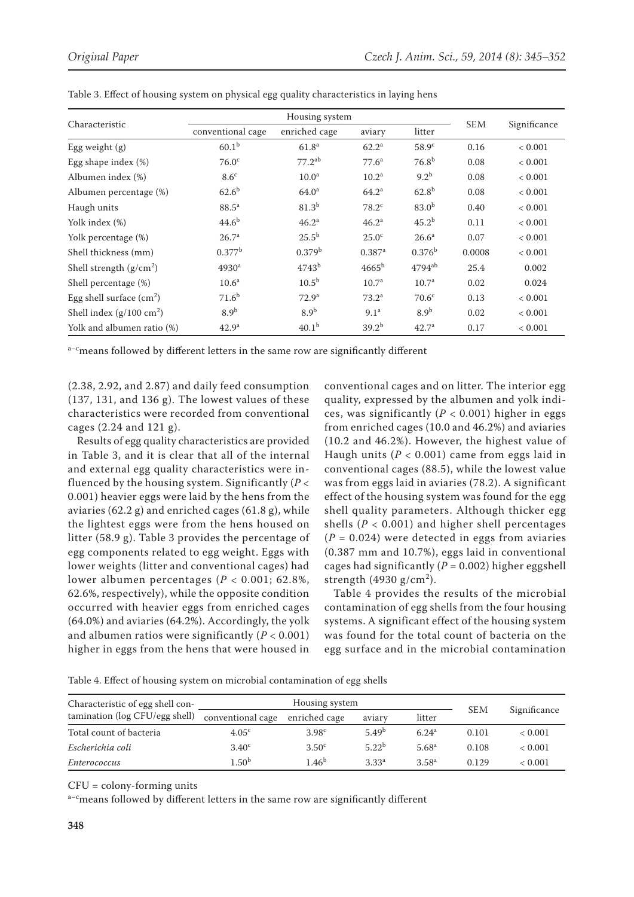| Characteristic                     | Housing system    |                    |                      |                      |            |              |
|------------------------------------|-------------------|--------------------|----------------------|----------------------|------------|--------------|
|                                    | conventional cage | enriched cage      | aviary               | litter               | <b>SEM</b> | Significance |
| Egg weight $(g)$                   | 60.1 <sup>b</sup> | 61.8 <sup>a</sup>  | 62.2 <sup>a</sup>    | 58.9 <sup>c</sup>    | 0.16       | < 0.001      |
| Egg shape index $(\%)$             | 76.0 <sup>c</sup> | $77.2^{ab}$        | 77.6 <sup>a</sup>    | $76.8^{b}$           | 0.08       | < 0.001      |
| Albumen index (%)                  | $8.6^\circ$       | 10.0 <sup>a</sup>  | $10.2^{\rm a}$       | $9.2^b$              | 0.08       | < 0.001      |
| Albumen percentage (%)             | $62.6^{b}$        | 64.0 <sup>a</sup>  | 64.2 <sup>a</sup>    | $62.8^{b}$           | 0.08       | < 0.001      |
| Haugh units                        | $88.5^{\rm a}$    | 81.3 <sup>b</sup>  | $78.2^{\circ}$       | 83.0 <sup>b</sup>    | 0.40       | < 0.001      |
| Yolk index (%)                     | $44.6^{b}$        | 46.2 <sup>a</sup>  | 46.2 <sup>a</sup>    | $45.2^{b}$           | 0.11       | < 0.001      |
| Yolk percentage (%)                | 26.7 <sup>a</sup> | $25.5^{\rm b}$     | 25.0 <sup>c</sup>    | 26.6 <sup>a</sup>    | 0.07       | < 0.001      |
| Shell thickness (mm)               | $0.377^{\rm b}$   | 0.379 <sup>b</sup> | $0.387$ <sup>a</sup> | $0.376^{\rm b}$      | 0.0008     | < 0.001      |
| Shell strength $(g/cm2)$           | 4930 <sup>a</sup> | 4743 <sup>b</sup>  | $4665^{\rm b}$       | $4794$ <sup>ab</sup> | 25.4       | 0.002        |
| Shell percentage (%)               | 10.6 <sup>a</sup> | 10.5 <sup>b</sup>  | 10.7 <sup>a</sup>    | 10.7 <sup>a</sup>    | 0.02       | 0.024        |
| Egg shell surface $(cm2)$          | 71.6 <sup>b</sup> | 72.9 <sup>a</sup>  | $73.2^a$             | 70.6 <sup>c</sup>    | 0.13       | < 0.001      |
| Shell index $(g/100 \text{ cm}^2)$ | 8.9 <sup>b</sup>  | 8.9 <sup>b</sup>   | 9.1 <sup>a</sup>     | 8.9 <sup>b</sup>     | 0.02       | < 0.001      |
| Yolk and albumen ratio (%)         | 42.9 <sup>a</sup> | 40.1 <sup>b</sup>  | $39.2^{b}$           | 42.7 <sup>a</sup>    | 0.17       | < 0.001      |

Table 3. Effect of housing system on physical egg quality characteristics in laying hens

a-cmeans followed by different letters in the same row are significantly different

(2.38, 2.92, and 2.87) and daily feed consumption (137, 131, and 136 g). The lowest values of these characteristics were recorded from conventional cages (2.24 and 121 g).

Results of egg quality characteristics are provided in Table 3, and it is clear that all of the internal and external egg quality characteristics were influenced by the housing system. Significantly (*P* < 0.001) heavier eggs were laid by the hens from the aviaries (62.2 g) and enriched cages (61.8 g), while the lightest eggs were from the hens housed on litter (58.9 g). Table 3 provides the percentage of egg components related to egg weight. Eggs with lower weights (litter and conventional cages) had lower albumen percentages (*P* < 0.001; 62.8%, 62.6%, respectively), while the opposite condition occurred with heavier eggs from enriched cages (64.0%) and aviaries (64.2%). Accordingly, the yolk and albumen ratios were significantly (*P* < 0.001) higher in eggs from the hens that were housed in conventional cages and on litter. The interior egg quality, expressed by the albumen and yolk indices, was significantly (*P* < 0.001) higher in eggs from enriched cages (10.0 and 46.2%) and aviaries (10.2 and 46.2%). However, the highest value of Haugh units (*P* < 0.001) came from eggs laid in conventional cages (88.5), while the lowest value was from eggs laid in aviaries (78.2). A significant effect of the housing system was found for the egg shell quality parameters. Although thicker egg shells (*P* < 0.001) and higher shell percentages  $(P = 0.024)$  were detected in eggs from aviaries (0.387 mm and 10.7%), eggs laid in conventional cages had significantly  $(P = 0.002)$  higher eggshell strength (4930 g/cm<sup>2</sup>).

Table 4 provides the results of the microbial contamination of egg shells from the four housing systems. A significant effect of the housing system was found for the total count of bacteria on the egg surface and in the microbial contamination

Table 4. Effect of housing system on microbial contamination of egg shells

| Characteristic of egg shell con-<br>tamination (log CFU/egg shell) | Housing system    |                   |                   |                   |            |              |
|--------------------------------------------------------------------|-------------------|-------------------|-------------------|-------------------|------------|--------------|
|                                                                    | conventional cage | enriched cage     | aviary            | litter            | <b>SEM</b> | Significance |
| Total count of bacteria                                            | 4.05 <sup>c</sup> | 3.98 <sup>c</sup> | 5.49 <sup>b</sup> | 6.24 <sup>a</sup> | 0.101      | < 0.001      |
| Escherichia coli                                                   | 3.40 <sup>c</sup> | 3.50 <sup>c</sup> | $5.22^{b}$        | 5.68 <sup>a</sup> | 0.108      | < 0.001      |
| Enterococcus                                                       | 1.50 <sup>b</sup> | 1.46 <sup>b</sup> | 3.33 <sup>a</sup> | 3.58 <sup>a</sup> | 0.129      | < 0.001      |

CFU = colony-forming units

a<sup>-c</sup>means followed by different letters in the same row are significantly different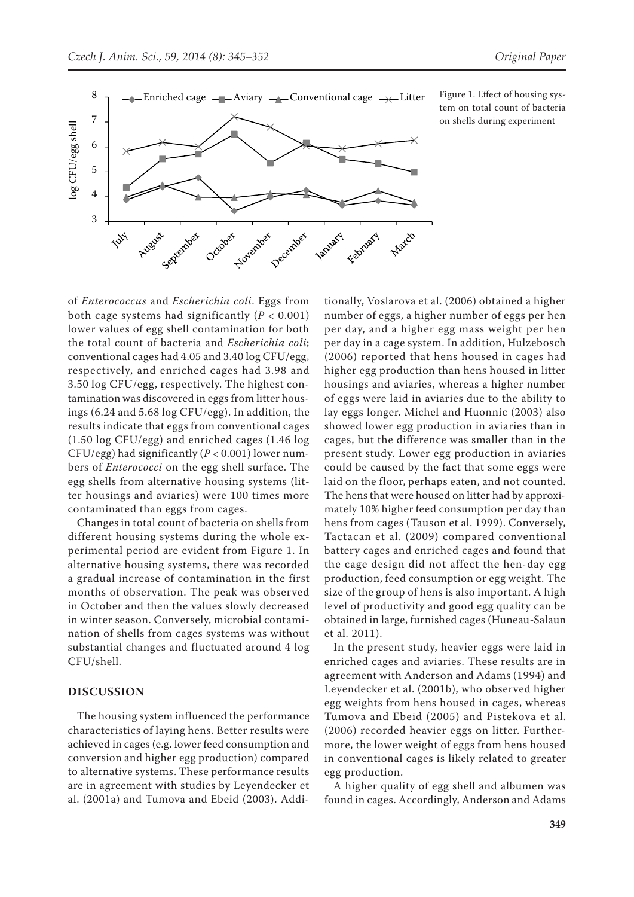

tem on total count of bacteria on shells during experiment

of *Enterococcus* and *Escherichia coli*. Eggs from both cage systems had significantly (*P* < 0.001) lower values of egg shell contamination for both the total count of bacteria and *Escherichia coli*; conventional cages had 4.05 and 3.40 log CFU/egg, respectively, and enriched cages had 3.98 and 3.50 log CFU/egg, respectively. The highest contamination was discovered in eggs from litter housings (6.24 and 5.68 log CFU/egg). In addition, the results indicate that eggs from conventional cages (1.50 log CFU/egg) and enriched cages (1.46 log CFU/egg) had significantly (*P* < 0.001) lower numbers of *Enterococci* on the egg shell surface. The egg shells from alternative housing systems (litter housings and aviaries) were 100 times more contaminated than eggs from cages.

Changes in total count of bacteria on shells from different housing systems during the whole experimental period are evident from Figure 1. In alternative housing systems, there was recorded a gradual increase of contamination in the first months of observation. The peak was observed in October and then the values slowly decreased in winter season. Conversely, microbial contamination of shells from cages systems was without substantial changes and fluctuated around 4 log CFU/shell.

#### **Discussion**

The housing system influenced the performance characteristics of laying hens. Better results were achieved in cages (e.g. lower feed consumption and conversion and higher egg production) compared to alternative systems. These performance results are in agreement with studies by Leyendecker et al. (2001a) and Tumova and Ebeid (2003). Addi-

tionally, Voslarova et al. (2006) obtained a higher number of eggs, a higher number of eggs per hen per day, and a higher egg mass weight per hen per day in a cage system. In addition, Hulzebosch (2006) reported that hens housed in cages had higher egg production than hens housed in litter housings and aviaries, whereas a higher number of eggs were laid in aviaries due to the ability to lay eggs longer. Michel and Huonnic (2003) also showed lower egg production in aviaries than in cages, but the difference was smaller than in the present study. Lower egg production in aviaries could be caused by the fact that some eggs were laid on the floor, perhaps eaten, and not counted. The hens that were housed on litter had by approximately 10% higher feed consumption per day than hens from cages (Tauson et al. 1999). Conversely, Tactacan et al. (2009) compared conventional battery cages and enriched cages and found that the cage design did not affect the hen-day egg production, feed consumption or egg weight. The size of the group of hens is also important. A high level of productivity and good egg quality can be obtained in large, furnished cages (Huneau-Salaun et al. 2011).

In the present study, heavier eggs were laid in enriched cages and aviaries. These results are in agreement with Anderson and Adams (1994) and Leyendecker et al. (2001b), who observed higher egg weights from hens housed in cages, whereas Tumova and Ebeid (2005) and Pistekova et al. (2006) recorded heavier eggs on litter. Furthermore, the lower weight of eggs from hens housed in conventional cages is likely related to greater egg production.

A higher quality of egg shell and albumen was found in cages. Accordingly, Anderson and Adams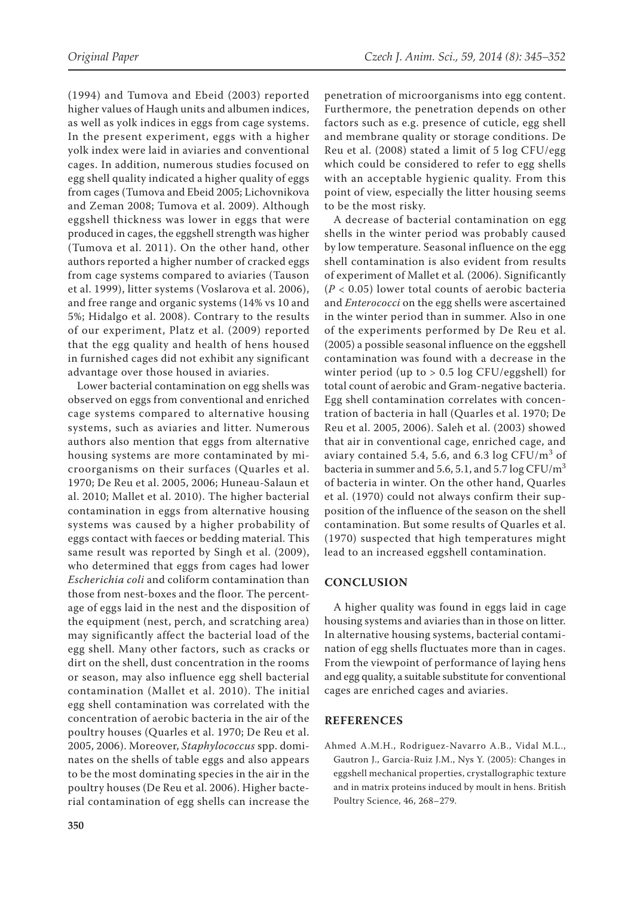(1994) and Tumova and Ebeid (2003) reported higher values of Haugh units and albumen indices, as well as yolk indices in eggs from cage systems. In the present experiment, eggs with a higher yolk index were laid in aviaries and conventional cages. In addition, numerous studies focused on egg shell quality indicated a higher quality of eggs from cages (Tumova and Ebeid 2005; Lichovnikova and Zeman 2008; Tumova et al. 2009). Although eggshell thickness was lower in eggs that were produced in cages, the eggshell strength was higher (Tumova et al. 2011). On the other hand, other authors reported a higher number of cracked eggs from cage systems compared to aviaries (Tauson et al. 1999), litter systems (Voslarova et al. 2006), and free range and organic systems (14% vs 10 and 5%; Hidalgo et al. 2008). Contrary to the results of our experiment, Platz et al. (2009) reported that the egg quality and health of hens housed in furnished cages did not exhibit any significant advantage over those housed in aviaries.

Lower bacterial contamination on egg shells was observed on eggs from conventional and enriched cage systems compared to alternative housing systems, such as aviaries and litter. Numerous authors also mention that eggs from alternative housing systems are more contaminated by microorganisms on their surfaces (Quarles et al. 1970; De Reu et al. 2005, 2006; Huneau-Salaun et al. 2010; Mallet et al. 2010). The higher bacterial contamination in eggs from alternative housing systems was caused by a higher probability of eggs contact with faeces or bedding material. This same result was reported by Singh et al. (2009), who determined that eggs from cages had lower *Escherichia coli* and coliform contamination than those from nest-boxes and the floor. The percentage of eggs laid in the nest and the disposition of the equipment (nest, perch, and scratching area) may significantly affect the bacterial load of the egg shell. Many other factors, such as cracks or dirt on the shell, dust concentration in the rooms or season, may also influence egg shell bacterial contamination (Mallet et al. 2010). The initial egg shell contamination was correlated with the concentration of aerobic bacteria in the air of the poultry houses (Quarles et al. 1970; De Reu et al. 2005, 2006). Moreover, *Staphylococcus* spp. dominates on the shells of table eggs and also appears to be the most dominating species in the air in the poultry houses (De Reu et al. 2006). Higher bacterial contamination of egg shells can increase the

penetration of microorganisms into egg content. Furthermore, the penetration depends on other factors such as e.g. presence of cuticle, egg shell and membrane quality or storage conditions. De Reu et al. (2008) stated a limit of 5 log CFU/egg which could be considered to refer to egg shells with an acceptable hygienic quality. From this point of view, especially the litter housing seems to be the most risky.

A decrease of bacterial contamination on egg shells in the winter period was probably caused by low temperature. Seasonal influence on the egg shell contamination is also evident from results of experiment of Mallet et al*.* (2006). Significantly (*P* < 0.05) lower total counts of aerobic bacteria and *Enterococci* on the egg shells were ascertained in the winter period than in summer. Also in one of the experiments performed by De Reu et al. (2005) a possible seasonal influence on the eggshell contamination was found with a decrease in the winter period (up to  $> 0.5$  log CFU/eggshell) for total count of aerobic and Gram-negative bacteria. Egg shell contamination correlates with concentration of bacteria in hall (Quarles et al. 1970; De Reu et al. 2005, 2006). Saleh et al. (2003) showed that air in conventional cage, enriched cage, and aviary contained 5.4, 5.6, and 6.3  $\log$  CFU/m<sup>3</sup> of bacteria in summer and 5.6, 5.1, and 5.7 log CFU/ $m<sup>3</sup>$ of bacteria in winter. On the other hand, Quarles et al. (1970) could not always confirm their supposition of the influence of the season on the shell contamination. But some results of Quarles et al. (1970) suspected that high temperatures might lead to an increased eggshell contamination.

#### **Conclusion**

A higher quality was found in eggs laid in cage housing systems and aviaries than in those on litter. In alternative housing systems, bacterial contamination of egg shells fluctuates more than in cages. From the viewpoint of performance of laying hens and egg quality, a suitable substitute for conventional cages are enriched cages and aviaries.

#### **References**

Ahmed A.M.H., Rodriguez-Navarro A.B., Vidal M.L., Gautron J., Garcia-Ruiz J.M., Nys Y. (2005): Changes in eggshell mechanical properties, crystallographic texture and in matrix proteins induced by moult in hens. British Poultry Science, 46, 268–279.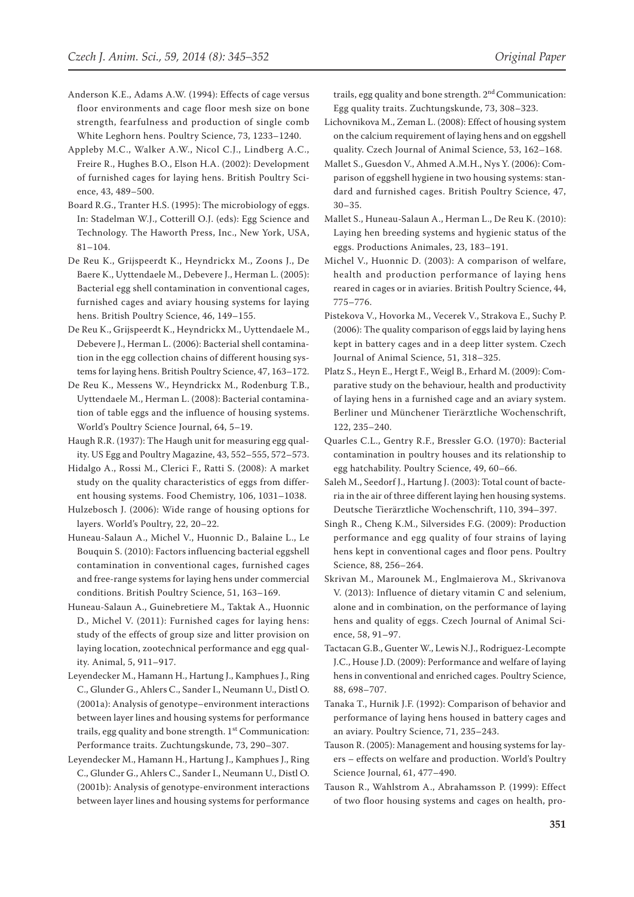- Anderson K.E., Adams A.W. (1994): Effects of cage versus floor environments and cage floor mesh size on bone strength, fearfulness and production of single comb White Leghorn hens. Poultry Science, 73, 1233–1240.
- Appleby M.C., Walker A.W., Nicol C.J., Lindberg A.C., Freire R., Hughes B.O., Elson H.A. (2002): Development of furnished cages for laying hens. British Poultry Science, 43, 489–500.
- Board R.G., Tranter H.S. (1995): The microbiology of eggs. In: Stadelman W.J., Cotterill O.J. (eds): Egg Science and Technology. The Haworth Press, Inc., New York, USA, 81–104.
- De Reu K., Grijspeerdt K., Heyndrickx M., Zoons J., De Baere K., Uyttendaele M., Debevere J., Herman L. (2005): Bacterial egg shell contamination in conventional cages, furnished cages and aviary housing systems for laying hens. British Poultry Science, 46, 149–155.
- De Reu K., Grijspeerdt K., Heyndrickx M., Uyttendaele M., Debevere J., Herman L. (2006): Bacterial shell contamination in the egg collection chains of different housing systems for laying hens. British Poultry Science, 47, 163–172.
- De Reu K., Messens W., Heyndrickx M., Rodenburg T.B., Uyttendaele M., Herman L. (2008): Bacterial contamination of table eggs and the influence of housing systems. World's Poultry Science Journal, 64, 5–19.
- Haugh R.R. (1937): The Haugh unit for measuring egg quality. US Egg and Poultry Magazine, 43, 552–555, 572–573.
- Hidalgo A., Rossi M., Clerici F., Ratti S. (2008): A market study on the quality characteristics of eggs from different housing systems. Food Chemistry, 106, 1031–1038.
- Hulzebosch J. (2006): Wide range of housing options for layers. World's Poultry, 22, 20–22.
- Huneau-Salaun A., Michel V., Huonnic D., Balaine L., Le Bouquin S. (2010): Factors influencing bacterial eggshell contamination in conventional cages, furnished cages and free-range systems for laying hens under commercial conditions. British Poultry Science, 51, 163–169.
- Huneau-Salaun A., Guinebretiere M., Taktak A., Huonnic D., Michel V. (2011): Furnished cages for laying hens: study of the effects of group size and litter provision on laying location, zootechnical performance and egg quality. Animal, 5, 911–917.
- Leyendecker M., Hamann H., Hartung J., Kamphues J., Ring C., Glunder G., Ahlers C., Sander I., Neumann U., Distl O. (2001a): Analysis of genotype–environment interactions between layer lines and housing systems for performance trails, egg quality and bone strength. 1<sup>st</sup> Communication: Performance traits. Zuchtungskunde, 73, 290–307.
- Leyendecker M., Hamann H., Hartung J., Kamphues J., Ring C., Glunder G., Ahlers C., Sander I., Neumann U., Distl O. (2001b): Analysis of genotype-environment interactions between layer lines and housing systems for performance

trails, egg quality and bone strength.  $2<sup>nd</sup>$  Communication: Egg quality traits. Zuchtungskunde, 73, 308–323.

- Lichovnikova M., Zeman L. (2008): Effect of housing system on the calcium requirement of laying hens and on eggshell quality. Czech Journal of Animal Science, 53, 162–168.
- Mallet S., Guesdon V., Ahmed A.M.H., Nys Y. (2006): Comparison of eggshell hygiene in two housing systems: standard and furnished cages. British Poultry Science, 47, 30–35.
- Mallet S., Huneau-Salaun A., Herman L., De Reu K. (2010): Laying hen breeding systems and hygienic status of the eggs. Productions Animales, 23, 183–191.
- Michel V., Huonnic D. (2003): A comparison of welfare, health and production performance of laying hens reared in cages or in aviaries. British Poultry Science, 44, 775–776.
- Pistekova V., Hovorka M., Vecerek V., Strakova E., Suchy P. (2006): The quality comparison of eggs laid by laying hens kept in battery cages and in a deep litter system. Czech Journal of Animal Science, 51, 318–325.
- Platz S., Heyn E., Hergt F., Weigl B., Erhard M. (2009): Comparative study on the behaviour, health and productivity of laying hens in a furnished cage and an aviary system. Berliner und Münchener Tierärztliche Wochenschrift, 122, 235–240.
- Quarles C.L., Gentry R.F., Bressler G.O. (1970): Bacterial contamination in poultry houses and its relationship to egg hatchability. Poultry Science, 49, 60–66.
- Saleh M., Seedorf J., Hartung J. (2003): Total count of bacteria in the air of three different laying hen housing systems. Deutsche Tierärztliche Wochenschrift, 110, 394–397.
- Singh R., Cheng K.M., Silversides F.G. (2009): Production performance and egg quality of four strains of laying hens kept in conventional cages and floor pens. Poultry Science, 88, 256–264.
- Skrivan M., Marounek M., Englmaierova M., Skrivanova V. (2013): Influence of dietary vitamin C and selenium, alone and in combination, on the performance of laying hens and quality of eggs. Czech Journal of Animal Science, 58, 91–97.
- Tactacan G.B., Guenter W., Lewis N.J., Rodriguez-Lecompte J.C., House J.D. (2009): Performance and welfare of laying hens in conventional and enriched cages. Poultry Science, 88, 698–707.
- Tanaka T., Hurnik J.F. (1992): Comparison of behavior and performance of laying hens housed in battery cages and an aviary. Poultry Science, 71, 235–243.
- Tauson R. (2005): Management and housing systems for layers – effects on welfare and production. World's Poultry Science Journal, 61, 477–490.
- Tauson R., Wahlstrom A., Abrahamsson P. (1999): Effect of two floor housing systems and cages on health, pro-